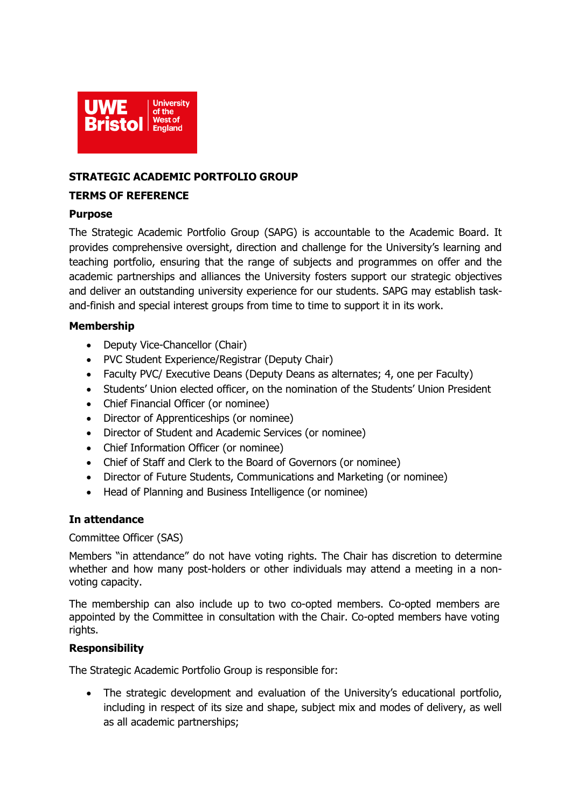

## **STRATEGIC ACADEMIC PORTFOLIO GROUP**

#### **TERMS OF REFERENCE**

### **Purpose**

The Strategic Academic Portfolio Group (SAPG) is accountable to the Academic Board. It provides comprehensive oversight, direction and challenge for the University's learning and teaching portfolio, ensuring that the range of subjects and programmes on offer and the academic partnerships and alliances the University fosters support our strategic objectives and deliver an outstanding university experience for our students. SAPG may establish taskand-finish and special interest groups from time to time to support it in its work.

## **Membership**

- Deputy Vice-Chancellor (Chair)
- PVC Student Experience/Registrar (Deputy Chair)
- Faculty PVC/ Executive Deans (Deputy Deans as alternates; 4, one per Faculty)
- Students' Union elected officer, on the nomination of the Students' Union President
- Chief Financial Officer (or nominee)
- Director of Apprenticeships (or nominee)
- Director of Student and Academic Services (or nominee)
- Chief Information Officer (or nominee)
- Chief of Staff and Clerk to the Board of Governors (or nominee)
- Director of Future Students, Communications and Marketing (or nominee)
- Head of Planning and Business Intelligence (or nominee)

## **In attendance**

#### Committee Officer (SAS)

Members "in attendance" do not have voting rights. The Chair has discretion to determine whether and how many post-holders or other individuals may attend a meeting in a nonvoting capacity.

The membership can also include up to two co-opted members. Co-opted members are appointed by the Committee in consultation with the Chair. Co-opted members have voting rights.

## **Responsibility**

The Strategic Academic Portfolio Group is responsible for:

• The strategic development and evaluation of the University's educational portfolio, including in respect of its size and shape, subject mix and modes of delivery, as well as all academic partnerships;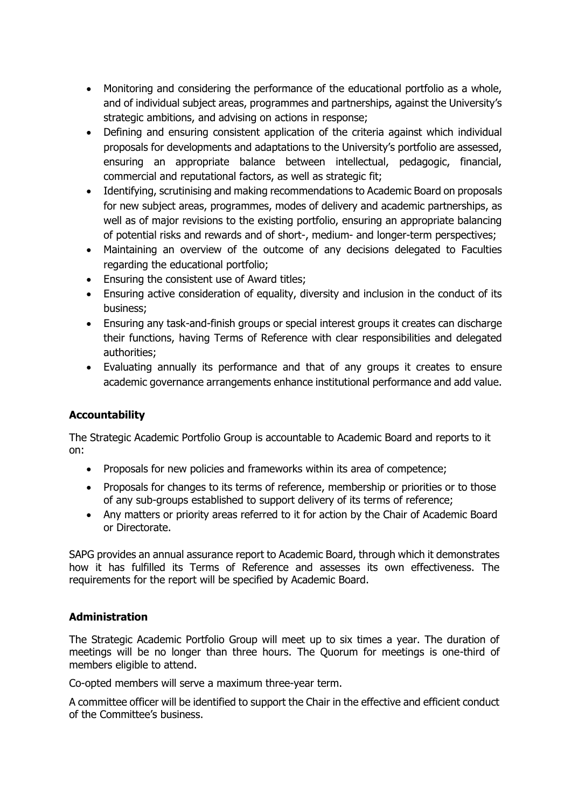- Monitoring and considering the performance of the educational portfolio as a whole, and of individual subject areas, programmes and partnerships, against the University's strategic ambitions, and advising on actions in response;
- Defining and ensuring consistent application of the criteria against which individual proposals for developments and adaptations to the University's portfolio are assessed, ensuring an appropriate balance between intellectual, pedagogic, financial, commercial and reputational factors, as well as strategic fit;
- Identifying, scrutinising and making recommendations to Academic Board on proposals for new subject areas, programmes, modes of delivery and academic partnerships, as well as of major revisions to the existing portfolio, ensuring an appropriate balancing of potential risks and rewards and of short-, medium- and longer-term perspectives;
- Maintaining an overview of the outcome of any decisions delegated to Faculties regarding the educational portfolio;
- Ensuring the consistent use of Award titles;
- Ensuring active consideration of equality, diversity and inclusion in the conduct of its business;
- Ensuring any task-and-finish groups or special interest groups it creates can discharge their functions, having Terms of Reference with clear responsibilities and delegated authorities;
- Evaluating annually its performance and that of any groups it creates to ensure academic governance arrangements enhance institutional performance and add value.

# **Accountability**

The Strategic Academic Portfolio Group is accountable to Academic Board and reports to it on:

- Proposals for new policies and frameworks within its area of competence;
- Proposals for changes to its terms of reference, membership or priorities or to those of any sub-groups established to support delivery of its terms of reference;
- Any matters or priority areas referred to it for action by the Chair of Academic Board or Directorate.

SAPG provides an annual assurance report to Academic Board, through which it demonstrates how it has fulfilled its Terms of Reference and assesses its own effectiveness. The requirements for the report will be specified by Academic Board.

## **Administration**

The Strategic Academic Portfolio Group will meet up to six times a year. The duration of meetings will be no longer than three hours. The Quorum for meetings is one-third of members eligible to attend.

Co-opted members will serve a maximum three-year term.

A committee officer will be identified to support the Chair in the effective and efficient conduct of the Committee's business.